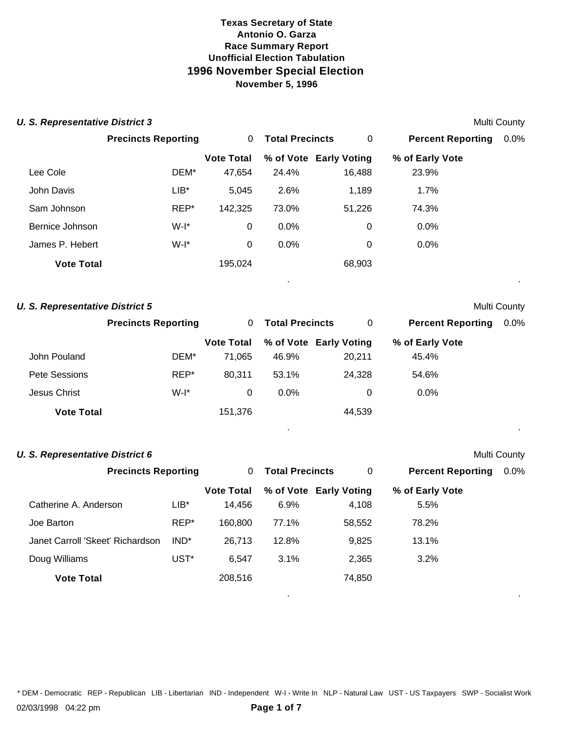| <b>U. S. Representative District 3</b> |                            |                   |                        |                        |                          | <b>Multi County</b> |
|----------------------------------------|----------------------------|-------------------|------------------------|------------------------|--------------------------|---------------------|
|                                        | <b>Precincts Reporting</b> | 0                 | <b>Total Precincts</b> | $\overline{0}$         | <b>Percent Reporting</b> | $0.0\%$             |
|                                        |                            | <b>Vote Total</b> |                        | % of Vote Early Voting | % of Early Vote          |                     |
| Lee Cole                               | DEM*                       | 47,654            | 24.4%                  | 16,488                 | 23.9%                    |                     |
| John Davis                             | $LIB*$                     | 5,045             | 2.6%                   | 1,189                  | 1.7%                     |                     |
| Sam Johnson                            | REP*                       | 142,325           | 73.0%                  | 51,226                 | 74.3%                    |                     |
| Bernice Johnson                        | $W-I^*$                    | 0                 | 0.0%                   | $\mathbf 0$            | 0.0%                     |                     |
| James P. Hebert                        | $W-I^*$                    | 0                 | 0.0%                   | 0                      | 0.0%                     |                     |
| <b>Vote Total</b>                      |                            | 195,024           |                        | 68,903                 |                          |                     |
|                                        |                            |                   | ٠                      |                        |                          | $\bullet$           |
|                                        |                            |                   |                        |                        |                          |                     |

| <b>U. S. Representative District 5</b> |                            |                   |                        |                        |                          | <b>Multi County</b> |
|----------------------------------------|----------------------------|-------------------|------------------------|------------------------|--------------------------|---------------------|
|                                        | <b>Precincts Reporting</b> | 0                 | <b>Total Precincts</b> | 0                      | <b>Percent Reporting</b> | $0.0\%$             |
|                                        |                            | <b>Vote Total</b> |                        | % of Vote Early Voting | % of Early Vote          |                     |
| John Pouland                           | DEM*                       | 71,065            | 46.9%                  | 20,211                 | 45.4%                    |                     |
| Pete Sessions                          | REP*                       | 80,311            | 53.1%                  | 24,328                 | 54.6%                    |                     |
| Jesus Christ                           | $W-I^*$                    | 0                 | $0.0\%$                | 0                      | 0.0%                     |                     |
| <b>Vote Total</b>                      |                            | 151,376           |                        | 44,539                 |                          |                     |
|                                        |                            |                   |                        |                        |                          |                     |

| U. S. Representative District 6 | Multi County |
|---------------------------------|--------------|
|---------------------------------|--------------|

|                                  | <b>Precincts Reporting</b> |                   | <b>Total Precincts</b> | 0                      | <b>Percent Reporting</b> | $0.0\%$ |
|----------------------------------|----------------------------|-------------------|------------------------|------------------------|--------------------------|---------|
|                                  |                            | <b>Vote Total</b> |                        | % of Vote Early Voting | % of Early Vote          |         |
| Catherine A. Anderson            | $LIB*$                     | 14.456            | $6.9\%$                | 4,108                  | 5.5%                     |         |
| Joe Barton                       | REP*                       | 160.800           | 77.1%                  | 58,552                 | 78.2%                    |         |
| Janet Carroll 'Skeet' Richardson | IND <sup>*</sup>           | 26,713            | 12.8%                  | 9,825                  | 13.1%                    |         |
| Doug Williams                    | UST <sup>*</sup>           | 6.547             | 3.1%                   | 2,365                  | 3.2%                     |         |
| <b>Vote Total</b>                |                            | 208,516           |                        | 74,850                 |                          |         |

. .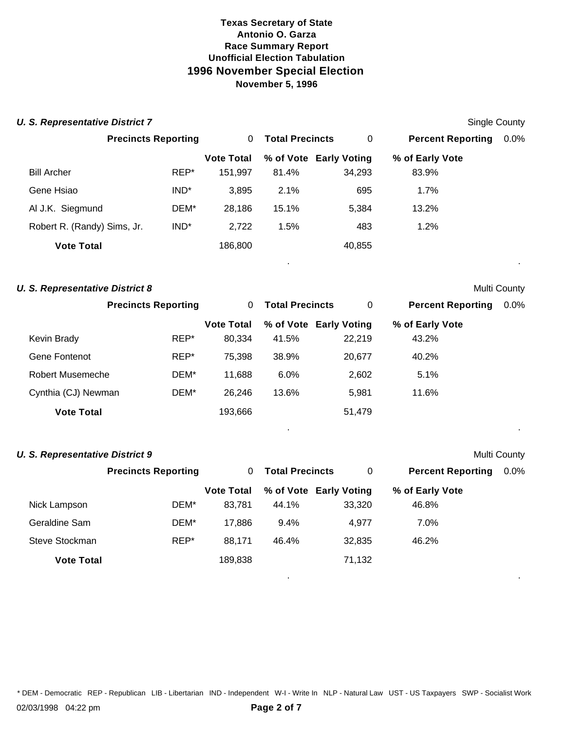|                         | <b>U. S. Representative District 7</b>                               |                  |                   |                        |                        |                          | <b>Single County</b> |
|-------------------------|----------------------------------------------------------------------|------------------|-------------------|------------------------|------------------------|--------------------------|----------------------|
|                         | <b>Precincts Reporting</b>                                           |                  | 0                 | <b>Total Precincts</b> | $\pmb{0}$              | <b>Percent Reporting</b> | 0.0%                 |
|                         |                                                                      |                  | <b>Vote Total</b> |                        | % of Vote Early Voting | % of Early Vote          |                      |
| <b>Bill Archer</b>      |                                                                      | REP*             | 151,997           | 81.4%                  | 34,293                 | 83.9%                    |                      |
| Gene Hsiao              |                                                                      | IND*             | 3,895             | 2.1%                   | 695                    | 1.7%                     |                      |
| Al J.K. Siegmund        |                                                                      | DEM*             | 28,186            | 15.1%                  | 5,384                  | 13.2%                    |                      |
|                         | Robert R. (Randy) Sims, Jr.                                          | IND <sup>*</sup> | 2,722             | 1.5%                   | 483                    | 1.2%                     |                      |
|                         | <b>Vote Total</b>                                                    |                  | 186,800           |                        | 40,855                 |                          |                      |
|                         | <b>U. S. Representative District 8</b>                               |                  |                   |                        |                        |                          | Multi County         |
|                         | <b>Precincts Reporting</b>                                           |                  | 0                 | <b>Total Precincts</b> | 0                      | <b>Percent Reporting</b> | 0.0%                 |
|                         |                                                                      |                  | <b>Vote Total</b> |                        | % of Vote Early Voting | % of Early Vote          |                      |
| Kevin Brady             |                                                                      | REP*             | 80,334            | 41.5%                  | 22,219                 | 43.2%                    |                      |
| Gene Fontenot           |                                                                      | REP*             | 75,398            | 38.9%                  | 20,677                 | 40.2%                    |                      |
| <b>Robert Musemeche</b> |                                                                      | DEM*             | 11,688            | 6.0%                   | 2,602                  | 5.1%                     |                      |
|                         | Cynthia (CJ) Newman                                                  | DEM*             | 26,246            | 13.6%                  | 5,981                  | 11.6%                    |                      |
|                         | <b>Vote Total</b>                                                    |                  | 193,666           |                        | 51,479                 |                          |                      |
|                         |                                                                      |                  |                   |                        |                        |                          |                      |
|                         | <b>U. S. Representative District 9</b><br><b>Precincts Reporting</b> |                  | 0                 | <b>Total Precincts</b> | $\pmb{0}$              |                          | Multi County<br>0.0% |
|                         |                                                                      |                  |                   |                        |                        | <b>Percent Reporting</b> |                      |
|                         |                                                                      |                  | <b>Vote Total</b> |                        | % of Vote Early Voting | % of Early Vote          |                      |
| Nick Lampson            |                                                                      | DEM*             | 83,781            | 44.1%                  | 33,320                 | 46.8%                    |                      |
| Geraldine Sam           |                                                                      | DEM*             | 17,886            | 9.4%                   | 4,977                  | 7.0%                     |                      |
| Steve Stockman          |                                                                      | REP*             | 88,171            | 46.4%                  | 32,835                 | 46.2%                    |                      |

\* DEM - Democratic REP - Republican LIB - Libertarian IND - Independent W-I - Write In NLP - Natural Law UST - US Taxpayers SWP - Socialist Work

**Vote Total** 189,838 71,132

. .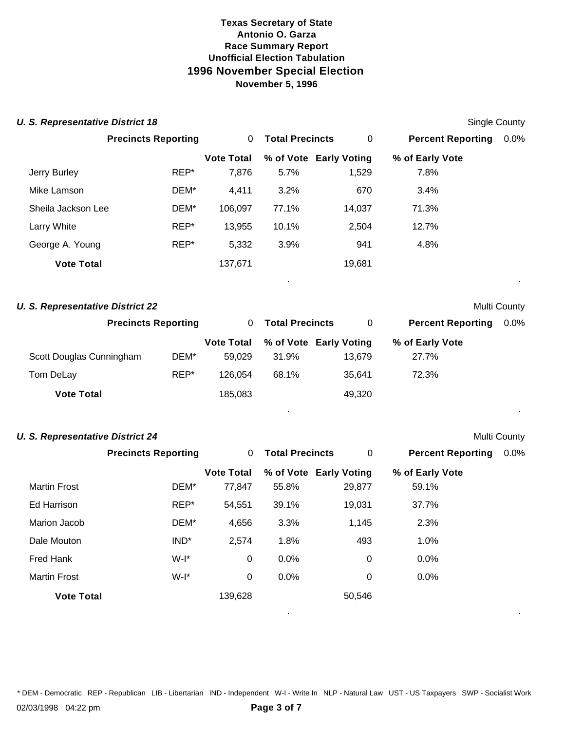| <b>U. S. Representative District 18</b> |                            |                   |                        |                        |                          | <b>Single County</b> |
|-----------------------------------------|----------------------------|-------------------|------------------------|------------------------|--------------------------|----------------------|
|                                         | <b>Precincts Reporting</b> | 0                 | <b>Total Precincts</b> | $\mathbf 0$            | <b>Percent Reporting</b> | 0.0%                 |
|                                         |                            | <b>Vote Total</b> |                        | % of Vote Early Voting | % of Early Vote          |                      |
| Jerry Burley                            | REP*                       | 7,876             | 5.7%                   | 1,529                  | 7.8%                     |                      |
| Mike Lamson                             | DEM*                       | 4,411             | 3.2%                   | 670                    | 3.4%                     |                      |
| Sheila Jackson Lee                      | DEM*                       | 106,097           | 77.1%                  | 14,037                 | 71.3%                    |                      |
| Larry White                             | REP*                       | 13,955            | 10.1%                  | 2,504                  | 12.7%                    |                      |
| George A. Young                         | REP*                       | 5,332             | 3.9%                   | 941                    | 4.8%                     |                      |
| <b>Vote Total</b>                       |                            | 137,671           |                        | 19,681                 |                          |                      |
| <b>U. S. Representative District 22</b> |                            |                   |                        |                        |                          | Multi County         |
|                                         | <b>Precincts Reporting</b> | $\mathbf 0$       | <b>Total Precincts</b> | $\mathbf 0$            | <b>Percent Reporting</b> | 0.0%                 |
|                                         |                            | <b>Vote Total</b> |                        | % of Vote Early Voting | % of Early Vote          |                      |
| Scott Douglas Cunningham                | DEM*                       | 59,029            | 31.9%                  | 13,679                 | 27.7%                    |                      |
| Tom DeLay                               | REP*                       | 126,054           | 68.1%                  | 35,641                 | 72.3%                    |                      |
| <b>Vote Total</b>                       |                            | 185,083           |                        | 49,320                 |                          |                      |
| <b>U. S. Representative District 24</b> |                            |                   |                        |                        |                          | Multi County         |
|                                         | <b>Precincts Reporting</b> | 0                 | <b>Total Precincts</b> | $\mathbf 0$            | <b>Percent Reporting</b> | 0.0%                 |
|                                         |                            | <b>Vote Total</b> |                        | % of Vote Early Voting | % of Early Vote          |                      |
| <b>Martin Frost</b>                     | DEM*                       | 77,847            | 55.8%                  | 29,877                 | 59.1%                    |                      |
| <b>Ed Harrison</b>                      | REP*                       | 54,551            | 39.1%                  | 19,031                 | 37.7%                    |                      |
| Marion Jacob                            | DEM*                       | 4,656             | 3.3%                   | 1,145                  | 2.3%                     |                      |
| Dale Mouton                             | $IND^*$                    | 2,574             | 1.8%                   | 493                    | 1.0%                     |                      |
| <b>Fred Hank</b>                        | $W-I^*$                    | 0                 | 0.0%                   | $\mathbf 0$            | 0.0%                     |                      |

\* DEM - Democratic REP - Republican LIB - Libertarian IND - Independent W-I - Write In NLP - Natural Law UST - US Taxpayers SWP - Socialist Work

. .

Martin Frost **W-1\*** 0 0.0% 0 0.0% 0.0%

**Vote Total** 139,628 50,546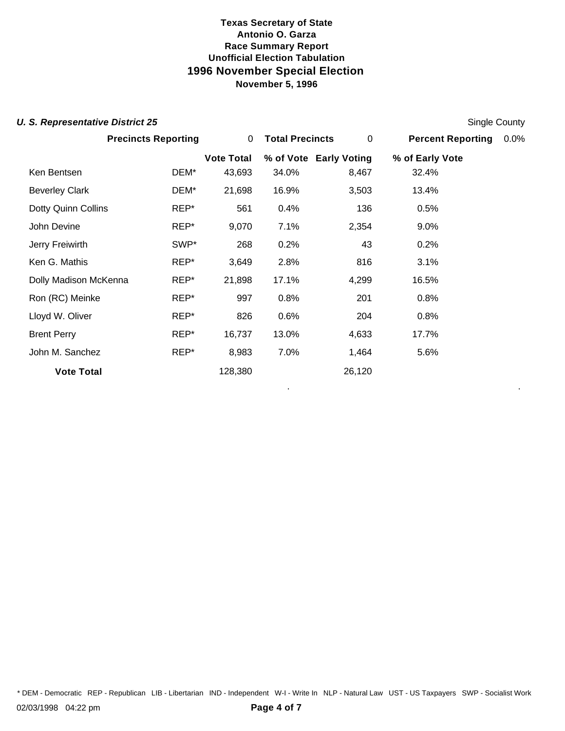### **U. S. Representative District 25** Single County

|                       | <b>Precincts Reporting</b> | 0                 | <b>Total Precincts</b> | 0                      | <b>Percent Reporting</b> | 0.0% |
|-----------------------|----------------------------|-------------------|------------------------|------------------------|--------------------------|------|
|                       |                            | <b>Vote Total</b> |                        | % of Vote Early Voting | % of Early Vote          |      |
| Ken Bentsen           | DEM*                       | 43,693            | 34.0%                  | 8,467                  | 32.4%                    |      |
| <b>Beverley Clark</b> | DEM*                       | 21,698            | 16.9%                  | 3,503                  | 13.4%                    |      |
| Dotty Quinn Collins   | REP*                       | 561               | 0.4%                   | 136                    | 0.5%                     |      |
| John Devine           | REP*                       | 9,070             | 7.1%                   | 2,354                  | 9.0%                     |      |
| Jerry Freiwirth       | SWP*                       | 268               | 0.2%                   | 43                     | 0.2%                     |      |
| Ken G. Mathis         | REP*                       | 3,649             | 2.8%                   | 816                    | 3.1%                     |      |
| Dolly Madison McKenna | REP*                       | 21,898            | 17.1%                  | 4,299                  | 16.5%                    |      |
| Ron (RC) Meinke       | REP*                       | 997               | 0.8%                   | 201                    | 0.8%                     |      |
| Lloyd W. Oliver       | REP*                       | 826               | 0.6%                   | 204                    | 0.8%                     |      |
| <b>Brent Perry</b>    | REP*                       | 16,737            | 13.0%                  | 4,633                  | 17.7%                    |      |
| John M. Sanchez       | REP*                       | 8,983             | 7.0%                   | 1,464                  | 5.6%                     |      |
| <b>Vote Total</b>     |                            | 128,380           |                        | 26,120                 |                          |      |

. .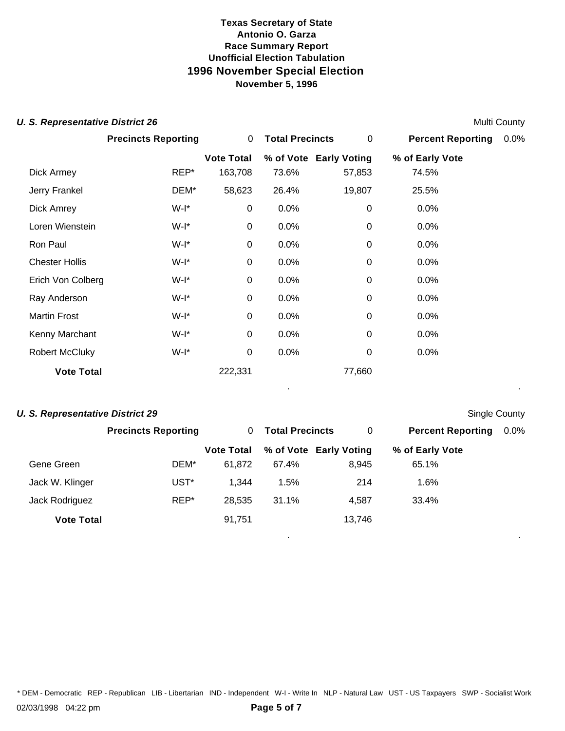#### **U. S. Representative District 26** Multi County

|                       | <b>Precincts Reporting</b> | 0                 | <b>Total Precincts</b> | 0                      | <b>Percent Reporting</b> | 0.0% |
|-----------------------|----------------------------|-------------------|------------------------|------------------------|--------------------------|------|
|                       |                            | <b>Vote Total</b> |                        | % of Vote Early Voting | % of Early Vote          |      |
| Dick Armey            | REP*                       | 163,708           | 73.6%                  | 57,853                 | 74.5%                    |      |
| Jerry Frankel         | DEM*                       | 58,623            | 26.4%                  | 19,807                 | 25.5%                    |      |
| Dick Amrey            | W-I*                       | 0                 | 0.0%                   | $\boldsymbol{0}$       | 0.0%                     |      |
| Loren Wienstein       | W-I*                       | 0                 | 0.0%                   | $\mathbf 0$            | 0.0%                     |      |
| Ron Paul              | W-I*                       | 0                 | 0.0%                   | $\mathbf 0$            | 0.0%                     |      |
| <b>Chester Hollis</b> | W-I*                       | 0                 | 0.0%                   | $\mathbf 0$            | 0.0%                     |      |
| Erich Von Colberg     | W-I*                       | 0                 | 0.0%                   | $\mathbf 0$            | 0.0%                     |      |
| Ray Anderson          | W-I*                       | 0                 | 0.0%                   | 0                      | 0.0%                     |      |
| <b>Martin Frost</b>   | W-I*                       | 0                 | 0.0%                   | $\mathbf 0$            | 0.0%                     |      |
| Kenny Marchant        | W-I*                       | 0                 | 0.0%                   | 0                      | 0.0%                     |      |
| <b>Robert McCluky</b> | $W-I^*$                    | 0                 | 0.0%                   | 0                      | 0.0%                     |      |
| <b>Vote Total</b>     |                            | 222,331           |                        | 77,660                 |                          |      |
|                       |                            |                   |                        |                        |                          |      |

### **U. S. Representative District 29** Single County

. .

. .

|                   | <b>Precincts Reporting</b> | 0                 | <b>Total Precincts</b> | 0                      | <b>Percent Reporting</b> | $0.0\%$ |
|-------------------|----------------------------|-------------------|------------------------|------------------------|--------------------------|---------|
|                   |                            | <b>Vote Total</b> |                        | % of Vote Early Voting | % of Early Vote          |         |
| Gene Green        | DEM*                       | 61.872            | 67.4%                  | 8.945                  | 65.1%                    |         |
| Jack W. Klinger   | UST <sup>*</sup>           | 1.344             | 1.5%                   | 214                    | $1.6\%$                  |         |
| Jack Rodriguez    | REP*                       | 28,535            | 31.1%                  | 4.587                  | 33.4%                    |         |
| <b>Vote Total</b> |                            | 91,751            |                        | 13,746                 |                          |         |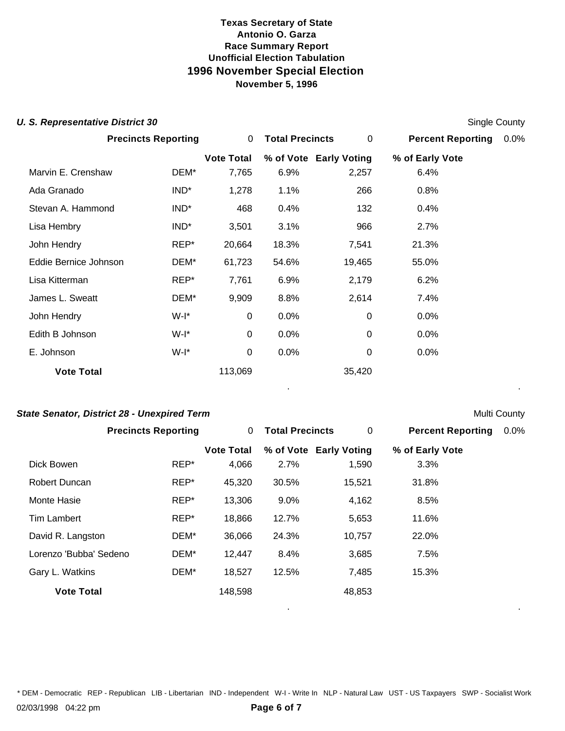#### **U. S. Representative District 30** Single County and **Single County of Single County** Single County

|                       | <b>Precincts Reporting</b> | 0                 | <b>Total Precincts</b> | 0                      | <b>Percent Reporting</b> | 0.0% |  |
|-----------------------|----------------------------|-------------------|------------------------|------------------------|--------------------------|------|--|
|                       |                            | <b>Vote Total</b> |                        | % of Vote Early Voting | % of Early Vote          |      |  |
| Marvin E. Crenshaw    | DEM*                       | 7,765             | 6.9%                   | 2,257                  | 6.4%                     |      |  |
| Ada Granado           | $IND^*$                    | 1,278             | 1.1%                   | 266                    | 0.8%                     |      |  |
| Stevan A. Hammond     | IND <sup>*</sup>           | 468               | 0.4%                   | 132                    | 0.4%                     |      |  |
| Lisa Hembry           | $IND^*$                    | 3,501             | 3.1%                   | 966                    | 2.7%                     |      |  |
| John Hendry           | REP*                       | 20,664            | 18.3%                  | 7,541                  | 21.3%                    |      |  |
| Eddie Bernice Johnson | DEM*                       | 61,723            | 54.6%                  | 19,465                 | 55.0%                    |      |  |
| Lisa Kitterman        | REP*                       | 7,761             | 6.9%                   | 2,179                  | 6.2%                     |      |  |
| James L. Sweatt       | DEM*                       | 9,909             | 8.8%                   | 2,614                  | 7.4%                     |      |  |
| John Hendry           | W-I*                       | 0                 | 0.0%                   | 0                      | 0.0%                     |      |  |
| Edith B Johnson       | W-I*                       | 0                 | $0.0\%$                | 0                      | 0.0%                     |      |  |
| E. Johnson            | W-I*                       | 0                 | 0.0%                   | 0                      | 0.0%                     |      |  |
| <b>Vote Total</b>     |                            | 113,069           |                        | 35,420                 |                          |      |  |
|                       |                            |                   |                        |                        |                          |      |  |

### **State Senator, District 28 - Unexpired Term** Multi County

. .

. .

|                        | <b>Precincts Reporting</b> | 0                 | <b>Total Precincts</b> | 0                      | <b>Percent Reporting</b> | $0.0\%$ |
|------------------------|----------------------------|-------------------|------------------------|------------------------|--------------------------|---------|
|                        |                            | <b>Vote Total</b> |                        | % of Vote Early Voting | % of Early Vote          |         |
| Dick Bowen             | REP*                       | 4,066             | 2.7%                   | 1,590                  | 3.3%                     |         |
| Robert Duncan          | REP*                       | 45,320            | 30.5%                  | 15,521                 | 31.8%                    |         |
| Monte Hasie            | $REP^*$                    | 13,306            | 9.0%                   | 4,162                  | 8.5%                     |         |
| Tim Lambert            | $REP^*$                    | 18,866            | 12.7%                  | 5,653                  | 11.6%                    |         |
| David R. Langston      | DEM*                       | 36,066            | 24.3%                  | 10,757                 | 22.0%                    |         |
| Lorenzo 'Bubba' Sedeno | DEM*                       | 12,447            | 8.4%                   | 3,685                  | 7.5%                     |         |
| Gary L. Watkins        | DEM*                       | 18,527            | 12.5%                  | 7,485                  | 15.3%                    |         |
| <b>Vote Total</b>      |                            | 148,598           |                        | 48,853                 |                          |         |